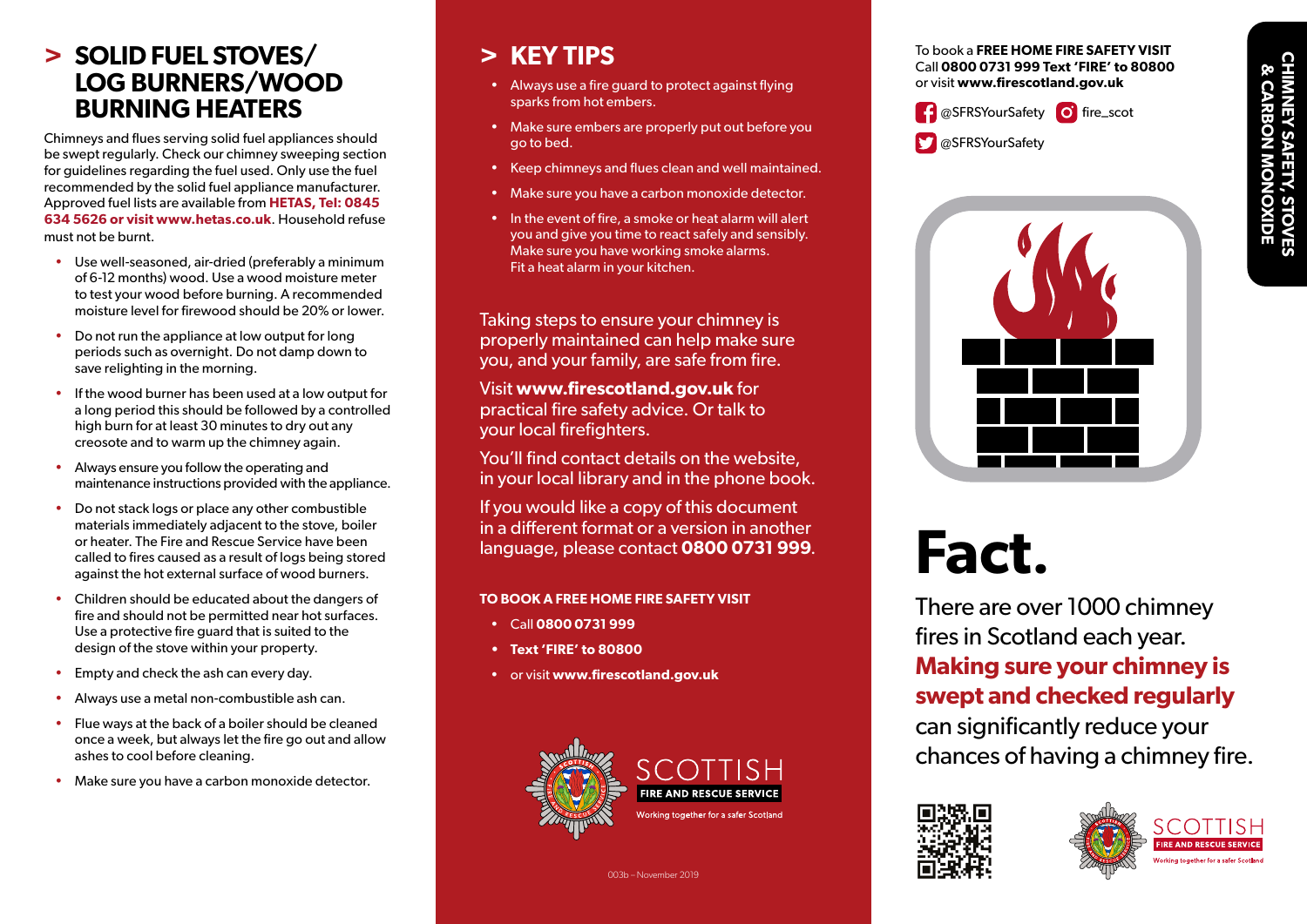## **CHIMNEY SAFETY, STOVES & CARBON MONOXIDE CARBON MON** P,

#### **> SOLID FUEL STOVES/ LOG BURNERS/WOOD BURNING HEATERS**

Chimneys and flues serving solid fuel appliances should be swept regularly. Check our chimney sweeping section for guidelines regarding the fuel used. Only use the fuel recommended by the solid fuel appliance manufacturer. Approved fuel lists are available from **HETAS, Tel: 0845 634 5626 or visit www.hetas.co.uk**. Household refuse must not be burnt.

- Use well-seasoned, air-dried (preferably a minimum of 6-12 months) wood. Use a wood moisture meter to test your wood before burning. A recommended moisture level for firewood should be 20% or lower.
- Do not run the appliance at low output for long periods such as overnight. Do not damp down to save relighting in the morning.
- If the wood burner has been used at a low output for a long period this should be followed by a controlled high burn for at least 30 minutes to dry out any creosote and to warm up the chimney again.
- Always ensure you follow the operating and maintenance instructions provided with the appliance.
- Do not stack logs or place any other combustible materials immediately adjacent to the stove, boiler or heater. The Fire and Rescue Service have been called to fires caused as a result of logs being stored against the hot external surface of wood burners.
- Children should be educated about the dangers of fire and should not be permitted near hot surfaces. Use a protective fire guard that is suited to the design of the stove within your property.
- Empty and check the ash can every day.
- Always use a metal non-combustible ash can.
- Flue ways at the back of a boiler should be cleaned once a week, but always let the fire go out and allow ashes to cool before cleaning.
- Make sure you have a carbon monoxide detector.

#### **> KEY TIPS**

- Always use a fire guard to protect against flying sparks from hot embers.
- Make sure embers are properly put out before you go to bed.
- Keep chimneys and flues clean and well maintained.
- Make sure you have a carbon monoxide detector.
- In the event of fire, a smoke or heat alarm will alert you and give you time to react safely and sensibly. Make sure you have working smoke alarms. Fit a heat alarm in your kitchen.

Taking steps to ensure your chimney is properly maintained can help make sure you, and your family, are safe from fire.

Visit **www.firescotland.gov.uk** for practical fire safety advice. Or talk to your local firefighters.

You'll find contact details on the website, in your local library and in the phone book.

If you would like a copy of this document in a different format or a version in another language, please contact **0800 0731 999**.

#### **TO BOOK A FREE HOME FIRE SAFETY VISIT**

- Call **0800 0731 999**
- **• Text 'FIRE' to 80800**
- or visit **www.firescotland.gov.uk**



To book a **FREE HOME FIRE SAFETY VISIT** Call **0800 0731 999 Text 'FIRE' to 80800** or visit **www.firescotland.gov.uk**









# **Fact.**

There are over 1000 chimney fires in Scotland each year. **Making sure your chimney is swept and checked regularly** can significantly reduce your chances of having a chimney fire.